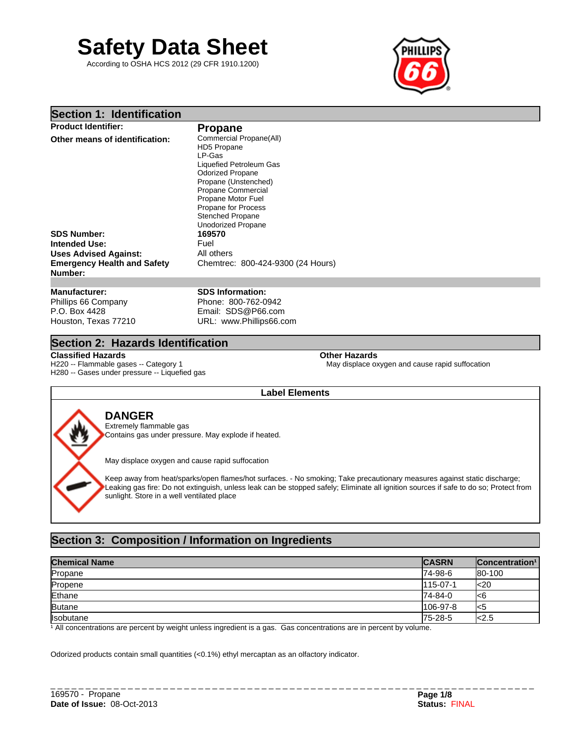# **Safety Data Sheet**

According to OSHA HCS 2012 (29 CFR 1910.1200)



# **Section 1: Identification**

| <b>Product Identifier:</b>                    | <b>Propane</b>                    |  |
|-----------------------------------------------|-----------------------------------|--|
| Other means of identification:                | Commercial Propane(All)           |  |
|                                               | HD5 Propane                       |  |
|                                               | LP-Gas                            |  |
|                                               | Liquefied Petroleum Gas           |  |
|                                               | <b>Odorized Propane</b>           |  |
|                                               | Propane (Unstenched)              |  |
|                                               | Propane Commercial                |  |
|                                               | Propane Motor Fuel                |  |
|                                               | Propane for Process               |  |
|                                               | <b>Stenched Propane</b>           |  |
|                                               | <b>Unodorized Propane</b>         |  |
| <b>SDS Number:</b>                            | 169570                            |  |
| Intended Use:                                 | Fuel                              |  |
| <b>Uses Advised Against:</b>                  | All others                        |  |
| <b>Emergency Health and Safety</b><br>Number: | Chemtrec: 800-424-9300 (24 Hours) |  |
|                                               |                                   |  |
| <b>Manufacturer:</b>                          | <b>SDS Information:</b>           |  |

Phillips 66 Company P.O. Box 4428 Houston, Texas 77210

Phone: 800-762-0942 Email: SDS@P66.com URL: www.Phillips66.com

# **Section 2: Hazards Identification**

**Classified Hazards Other Hazards** H220 -- Flammable gases -- Category 1 H280 -- Gases under pressure -- Liquefied gas

May displace oxygen and cause rapid suffocation

# **Label Elements**

# **DANGER**

Extremely flammable gas Contains gas under pressure. May explode if heated.

May displace oxygen and cause rapid suffocation

Keep away from heat/sparks/open flames/hot surfaces. - No smoking; Take precautionary measures against static discharge; Leaking gas fire: Do not extinguish, unless leak can be stopped safely; Eliminate all ignition sources if safe to do so; Protect from sunlight. Store in a well ventilated place

# **Section 3: Composition / Information on Ingredients**

| <b>Chemical Name</b> | <b>CASRN</b> | <b>Concentration</b> 1 |
|----------------------|--------------|------------------------|
| Propane              | 74-98-6      | 80-100                 |
| Propene              | 115-07-1     | k <sub>20</sub>        |
| Ethane               | 74-84-0      | l<6                    |
| Butane               | 106-97-8     | l<5                    |
| <b>Isobutane</b>     | 75-28-5      | $\approx$ 2.5          |

<sup>1</sup> All concentrations are percent by weight unless ingredient is a gas. Gas concentrations are in percent by volume.

Odorized products contain small quantities (<0.1%) ethyl mercaptan as an olfactory indicator.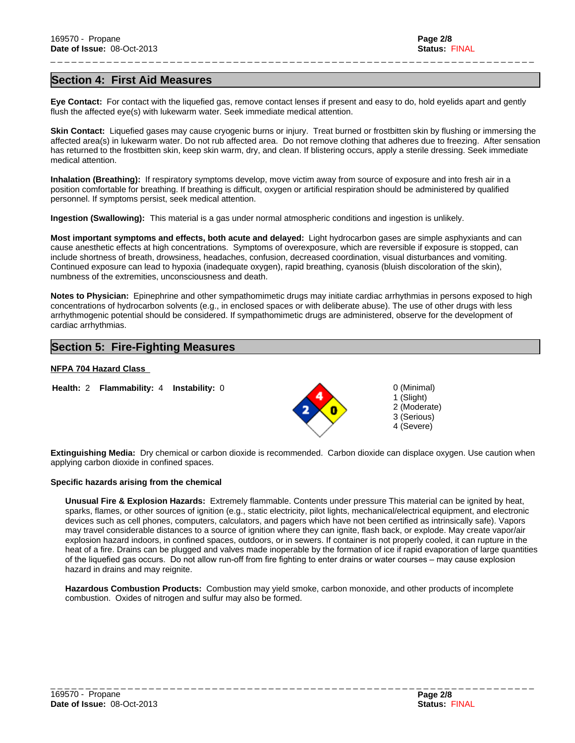# **Section 4: First Aid Measures**

**Eye Contact:** For contact with the liquefied gas, remove contact lenses if present and easy to do, hold eyelids apart and gently flush the affected eye(s) with lukewarm water. Seek immediate medical attention.

\_ \_ \_ \_ \_ \_ \_ \_ \_ \_ \_ \_ \_ \_ \_ \_ \_ \_ \_ \_ \_ \_ \_ \_ \_ \_ \_ \_ \_ \_ \_ \_ \_ \_ \_ \_ \_ \_ \_ \_ \_ \_ \_ \_ \_ \_ \_ \_ \_ \_ \_ \_ \_ \_ \_ \_ \_ \_ \_ \_ \_ \_ \_ \_ \_ \_ \_ \_ \_

**Skin Contact:** Liquefied gases may cause cryogenic burns or injury. Treat burned or frostbitten skin by flushing or immersing the affected area(s) in lukewarm water. Do not rub affected area. Do not remove clothing that adheres due to freezing. After sensation has returned to the frostbitten skin, keep skin warm, dry, and clean. If blistering occurs, apply a sterile dressing. Seek immediate medical attention.

**Inhalation (Breathing):** If respiratory symptoms develop, move victim away from source of exposure and into fresh air in a position comfortable for breathing. If breathing is difficult, oxygen or artificial respiration should be administered by qualified personnel. If symptoms persist, seek medical attention.

**Ingestion (Swallowing):** This material is a gas under normal atmospheric conditions and ingestion is unlikely.

**Most important symptoms and effects, both acute and delayed:** Light hydrocarbon gases are simple asphyxiants and can cause anesthetic effects at high concentrations. Symptoms of overexposure, which are reversible if exposure is stopped, can include shortness of breath, drowsiness, headaches, confusion, decreased coordination, visual disturbances and vomiting. Continued exposure can lead to hypoxia (inadequate oxygen), rapid breathing, cyanosis (bluish discoloration of the skin), numbness of the extremities, unconsciousness and death.

**Notes to Physician:** Epinephrine and other sympathomimetic drugs may initiate cardiac arrhythmias in persons exposed to high concentrations of hydrocarbon solvents (e.g., in enclosed spaces or with deliberate abuse). The use of other drugs with less arrhythmogenic potential should be considered. If sympathomimetic drugs are administered, observe for the development of cardiac arrhythmias.

# **Section 5: Fire-Fighting Measures**

# **NFPA 704 Hazard Class**

**Health:** 2 **Flammability:** 4 **Instability:** 0



0 (Minimal) 1 (Slight) 2 (Moderate) 3 (Serious) 4 (Severe)

**Extinguishing Media:** Dry chemical or carbon dioxide is recommended. Carbon dioxide can displace oxygen. Use caution when applying carbon dioxide in confined spaces.

## **Specific hazards arising from the chemical**

**Unusual Fire & Explosion Hazards:** Extremely flammable. Contents under pressure This material can be ignited by heat, sparks, flames, or other sources of ignition (e.g., static electricity, pilot lights, mechanical/electrical equipment, and electronic devices such as cell phones, computers, calculators, and pagers which have not been certified as intrinsically safe). Vapors may travel considerable distances to a source of ignition where they can ignite, flash back, or explode. May create vapor/air explosion hazard indoors, in confined spaces, outdoors, or in sewers. If container is not properly cooled, it can rupture in the heat of a fire. Drains can be plugged and valves made inoperable by the formation of ice if rapid evaporation of large quantities of the liquefied gas occurs. Do not allow run-off from fire fighting to enter drains or water courses – may cause explosion hazard in drains and may reignite.

**Hazardous Combustion Products:** Combustion may yield smoke, carbon monoxide, and other products of incomplete combustion. Oxides of nitrogen and sulfur may also be formed.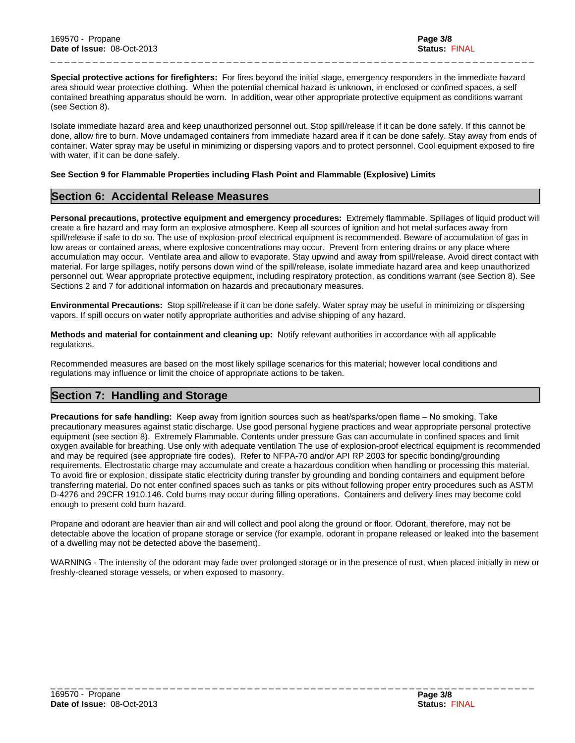**Special protective actions for firefighters:** For fires beyond the initial stage, emergency responders in the immediate hazard area should wear protective clothing. When the potential chemical hazard is unknown, in enclosed or confined spaces, a self contained breathing apparatus should be worn. In addition, wear other appropriate protective equipment as conditions warrant (see Section 8).

\_ \_ \_ \_ \_ \_ \_ \_ \_ \_ \_ \_ \_ \_ \_ \_ \_ \_ \_ \_ \_ \_ \_ \_ \_ \_ \_ \_ \_ \_ \_ \_ \_ \_ \_ \_ \_ \_ \_ \_ \_ \_ \_ \_ \_ \_ \_ \_ \_ \_ \_ \_ \_ \_ \_ \_ \_ \_ \_ \_ \_ \_ \_ \_ \_ \_ \_ \_ \_

Isolate immediate hazard area and keep unauthorized personnel out. Stop spill/release if it can be done safely. If this cannot be done, allow fire to burn. Move undamaged containers from immediate hazard area if it can be done safely. Stay away from ends of container. Water spray may be useful in minimizing or dispersing vapors and to protect personnel. Cool equipment exposed to fire with water, if it can be done safely.

## **See Section 9 for Flammable Properties including Flash Point and Flammable (Explosive) Limits**

# **Section 6: Accidental Release Measures**

**Personal precautions, protective equipment and emergency procedures:** Extremely flammable. Spillages of liquid product will create a fire hazard and may form an explosive atmosphere. Keep all sources of ignition and hot metal surfaces away from spill/release if safe to do so. The use of explosion-proof electrical equipment is recommended. Beware of accumulation of gas in low areas or contained areas, where explosive concentrations may occur. Prevent from entering drains or any place where accumulation may occur. Ventilate area and allow to evaporate. Stay upwind and away from spill/release. Avoid direct contact with material. For large spillages, notify persons down wind of the spill/release, isolate immediate hazard area and keep unauthorized personnel out. Wear appropriate protective equipment, including respiratory protection, as conditions warrant (see Section 8). See Sections 2 and 7 for additional information on hazards and precautionary measures.

**Environmental Precautions:** Stop spill/release if it can be done safely. Water spray may be useful in minimizing or dispersing vapors. If spill occurs on water notify appropriate authorities and advise shipping of any hazard.

**Methods and material for containment and cleaning up:** Notify relevant authorities in accordance with all applicable regulations.

Recommended measures are based on the most likely spillage scenarios for this material; however local conditions and regulations may influence or limit the choice of appropriate actions to be taken.

# **Section 7: Handling and Storage**

Precautions for safe handling: Keep away from ignition sources such as heat/sparks/open flame - No smoking. Take precautionary measures against static discharge. Use good personal hygiene practices and wear appropriate personal protective equipment (see section 8). Extremely Flammable. Contents under pressure Gas can accumulate in confined spaces and limit oxygen available for breathing. Use only with adequate ventilation The use of explosion-proof electrical equipment is recommended and may be required (see appropriate fire codes). Refer to NFPA-70 and/or API RP 2003 for specific bonding/grounding requirements. Electrostatic charge may accumulate and create a hazardous condition when handling or processing this material. To avoid fire or explosion, dissipate static electricity during transfer by grounding and bonding containers and equipment before transferring material. Do not enter confined spaces such as tanks or pits without following proper entry procedures such as ASTM D-4276 and 29CFR 1910.146. Cold burns may occur during filling operations. Containers and delivery lines may become cold enough to present cold burn hazard.

Propane and odorant are heavier than air and will collect and pool along the ground or floor. Odorant, therefore, may not be detectable above the location of propane storage or service (for example, odorant in propane released or leaked into the basement of a dwelling may not be detected above the basement).

WARNING - The intensity of the odorant may fade over prolonged storage or in the presence of rust, when placed initially in new or freshly-cleaned storage vessels, or when exposed to masonry.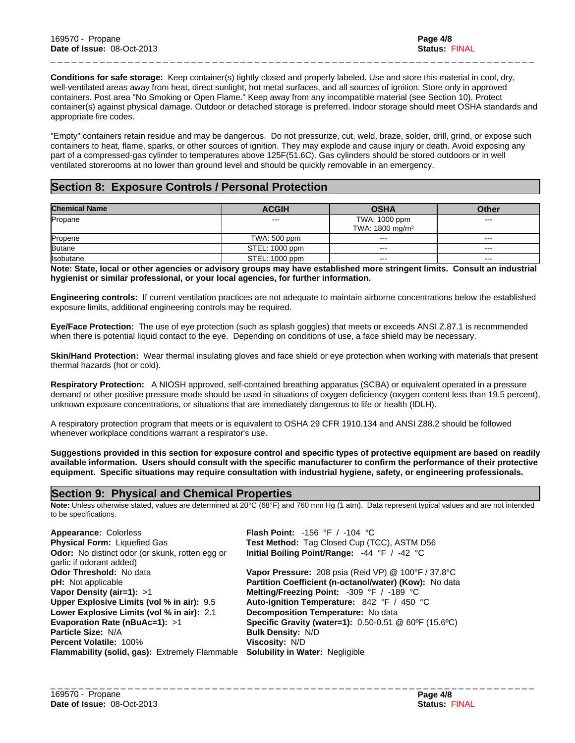**Conditions for safe storage:** Keep container(s) tightly closed and properly labeled. Use and store this material in cool, dry, well-ventilated areas away from heat, direct sunlight, hot metal surfaces, and all sources of ignition. Store only in approved containers. Post area "No Smoking or Open Flame." Keep away from any incompatible material (see Section 10). Protect container(s) against physical damage. Outdoor or detached storage is preferred. Indoor storage should meet OSHA standards and appropriate fire codes.

\_ \_ \_ \_ \_ \_ \_ \_ \_ \_ \_ \_ \_ \_ \_ \_ \_ \_ \_ \_ \_ \_ \_ \_ \_ \_ \_ \_ \_ \_ \_ \_ \_ \_ \_ \_ \_ \_ \_ \_ \_ \_ \_ \_ \_ \_ \_ \_ \_ \_ \_ \_ \_ \_ \_ \_ \_ \_ \_ \_ \_ \_ \_ \_ \_ \_ \_ \_ \_

"Empty" containers retain residue and may be dangerous. Do not pressurize, cut, weld, braze, solder, drill, grind, or expose such containers to heat, flame, sparks, or other sources of ignition. They may explode and cause injury or death. Avoid exposing any part of a compressed-gas cylinder to temperatures above 125F(51.6C). Gas cylinders should be stored outdoors or in well ventilated storerooms at no lower than ground level and should be quickly removable in an emergency.

# **Section 8: Exposure Controls / Personal Protection**

| <b>Chemical Name</b> | <b>ACGIH</b>   | <b>OSHA</b>                                  | <b>Other</b> |
|----------------------|----------------|----------------------------------------------|--------------|
| Propane              | $- - -$        | TWA: 1000 ppm<br>TWA: 1800 mg/m <sup>3</sup> | $- - -$      |
| Propene              | TWA: 500 ppm   | $--$                                         | $--$         |
| <b>Butane</b>        | STEL: 1000 ppm | $--$                                         | $--$         |
| <b>Isobutane</b>     | STEL: 1000 ppm | $- - -$                                      | $\cdots$     |

**Note: State, local or other agencies or advisory groups may have established more stringent limits. Consult an industrial hygienist or similar professional, or your local agencies, for further information.**

**Engineering controls:** If current ventilation practices are not adequate to maintain airborne concentrations below the established exposure limits, additional engineering controls may be required.

**Eye/Face Protection:** The use of eye protection (such as splash goggles) that meets or exceeds ANSI Z.87.1 is recommended when there is potential liquid contact to the eye. Depending on conditions of use, a face shield may be necessary.

**Skin/Hand Protection:** Wear thermal insulating gloves and face shield or eye protection when working with materials that present thermal hazards (hot or cold).

**Respiratory Protection:** A NIOSH approved, self-contained breathing apparatus (SCBA) or equivalent operated in a pressure demand or other positive pressure mode should be used in situations of oxygen deficiency (oxygen content less than 19.5 percent), unknown exposure concentrations, or situations that are immediately dangerous to life or health (IDLH).

A respiratory protection program that meets or is equivalent to OSHA 29 CFR 1910.134 and ANSI Z88.2 should be followed whenever workplace conditions warrant a respirator's use.

**Suggestions provided in this section for exposure control and specific types of protective equipment are based on readily available information. Users should consult with the specific manufacturer to confirm the performance of their protective equipment. Specific situations may require consultation with industrial hygiene, safety, or engineering professionals.**

# **Section 9: Physical and Chemical Properties**

**Note:** Unless otherwise stated, values are determined at 20°C (68°F) and 760 mm Hg (1 atm). Data represent typical values and are not intended to be specifications.

| <b>Appearance: Colorless</b>                                                          | <b>Flash Point:</b> -156 °F / -104 °C                                           |
|---------------------------------------------------------------------------------------|---------------------------------------------------------------------------------|
| <b>Physical Form: Liquefied Gas</b>                                                   | <b>Test Method: Tag Closed Cup (TCC), ASTM D56</b>                              |
| Odor: No distinct odor (or skunk, rotten egg or                                       | Initial Boiling Point/Range: -44 °F / -42 °C                                    |
| garlic if odorant added)                                                              |                                                                                 |
| <b>Odor Threshold: No data</b>                                                        | Vapor Pressure: 208 psia (Reid VP) @ 100°F / 37.8°C                             |
| <b>pH:</b> Not applicable                                                             | Partition Coefficient (n-octanol/water) (Kow): No data                          |
| Vapor Density (air=1): >1                                                             | Melting/Freezing Point: -309 °F / -189 °C                                       |
| Upper Explosive Limits (vol % in air): 9.5                                            | Auto-ignition Temperature: $842 \text{ }^{\circ}$ F / $450 \text{ }^{\circ}$ C  |
| Lower Explosive Limits (vol % in air): 2.1                                            | Decomposition Temperature: No data                                              |
| Evaporation Rate ( $nBuAc=1$ ): >1                                                    | <b>Specific Gravity (water=1):</b> $0.50 - 0.51 \& 60^{\circ}F (15.6^{\circ}C)$ |
| <b>Particle Size: N/A</b>                                                             | <b>Bulk Density: N/D</b>                                                        |
| <b>Percent Volatile: 100%</b>                                                         | Viscosity: N/D                                                                  |
| <b>Flammability (solid, gas):</b> Extremely Flammable Solubility in Water: Negligible |                                                                                 |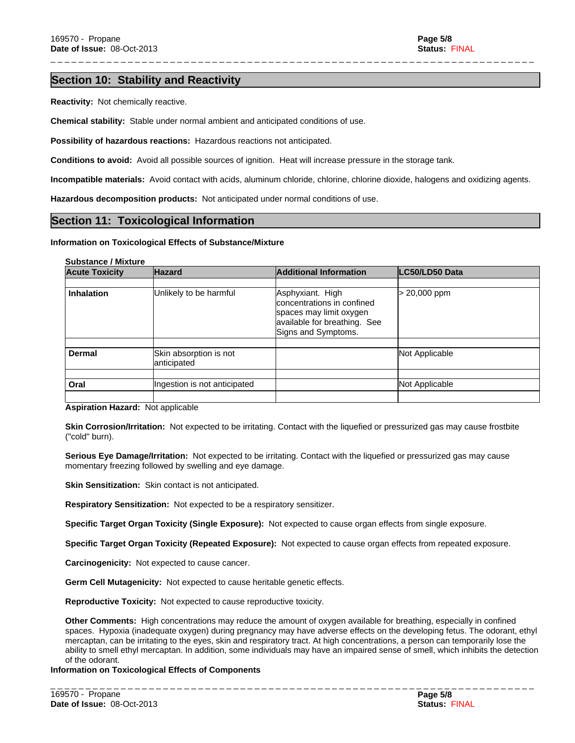\_ \_ \_ \_ \_ \_ \_ \_ \_ \_ \_ \_ \_ \_ \_ \_ \_ \_ \_ \_ \_ \_ \_ \_ \_ \_ \_ \_ \_ \_ \_ \_ \_ \_ \_ \_ \_ \_ \_ \_ \_ \_ \_ \_ \_ \_ \_ \_ \_ \_ \_ \_ \_ \_ \_ \_ \_ \_ \_ \_ \_ \_ \_ \_ \_ \_ \_ \_ \_

# **Section 10: Stability and Reactivity**

**Reactivity:** Not chemically reactive.

**Chemical stability:** Stable under normal ambient and anticipated conditions of use.

**Possibility of hazardous reactions:** Hazardous reactions not anticipated.

**Conditions to avoid:** Avoid all possible sources of ignition. Heat will increase pressure in the storage tank.

**Incompatible materials:** Avoid contact with acids, aluminum chloride, chlorine, chlorine dioxide, halogens and oxidizing agents.

**Hazardous decomposition products:** Not anticipated under normal conditions of use.

## **Section 11: Toxicological Information**

#### **Information on Toxicological Effects of Substance/Mixture**

#### **Substance / Mixture**

| <b>Acute Toxicity</b> | <b>Hazard</b>                | <b>Additional Information</b>                                                                                                    | LC50/LD50 Data |
|-----------------------|------------------------------|----------------------------------------------------------------------------------------------------------------------------------|----------------|
|                       |                              |                                                                                                                                  |                |
| <b>Inhalation</b>     | Unlikely to be harmful       | Asphyxiant. High<br>concentrations in confined<br>spaces may limit oxygen<br>available for breathing. See<br>Signs and Symptoms. | > 20,000 ppm   |
| <b>Dermal</b>         | Skin absorption is not       |                                                                                                                                  | Not Applicable |
|                       | anticipated                  |                                                                                                                                  |                |
|                       |                              |                                                                                                                                  |                |
| Oral                  | Ingestion is not anticipated |                                                                                                                                  | Not Applicable |
|                       |                              |                                                                                                                                  |                |

**Aspiration Hazard:** Not applicable

**Skin Corrosion/Irritation:** Not expected to be irritating. Contact with the liquefied or pressurized gas may cause frostbite ("cold" burn).

**Serious Eye Damage/Irritation:** Not expected to be irritating. Contact with the liquefied or pressurized gas may cause momentary freezing followed by swelling and eye damage.

**Skin Sensitization:** Skin contact is not anticipated.

**Respiratory Sensitization:** Not expected to be a respiratory sensitizer.

**Specific Target Organ Toxicity (Single Exposure):** Not expected to cause organ effects from single exposure.

**Specific Target Organ Toxicity (Repeated Exposure):** Not expected to cause organ effects from repeated exposure.

**Carcinogenicity:** Not expected to cause cancer.

**Germ Cell Mutagenicity:** Not expected to cause heritable genetic effects.

**Reproductive Toxicity:** Not expected to cause reproductive toxicity.

**Other Comments:** High concentrations may reduce the amount of oxygen available for breathing, especially in confined spaces. Hypoxia (inadequate oxygen) during pregnancy may have adverse effects on the developing fetus. The odorant, ethyl mercaptan, can be irritating to the eyes, skin and respiratory tract. At high concentrations, a person can temporarily lose the ability to smell ethyl mercaptan. In addition, some individuals may have an impaired sense of smell, which inhibits the detection of the odorant.

\_ \_ \_ \_ \_ \_ \_ \_ \_ \_ \_ \_ \_ \_ \_ \_ \_ \_ \_ \_ \_ \_ \_ \_ \_ \_ \_ \_ \_ \_ \_ \_ \_ \_ \_ \_ \_ \_ \_ \_ \_ \_ \_ \_ \_ \_ \_ \_ \_ \_ \_ \_ \_ \_ \_ \_ \_ \_ \_ \_ \_ \_ \_ \_ \_ \_ \_ \_ \_

**Information on Toxicological Effects of Components**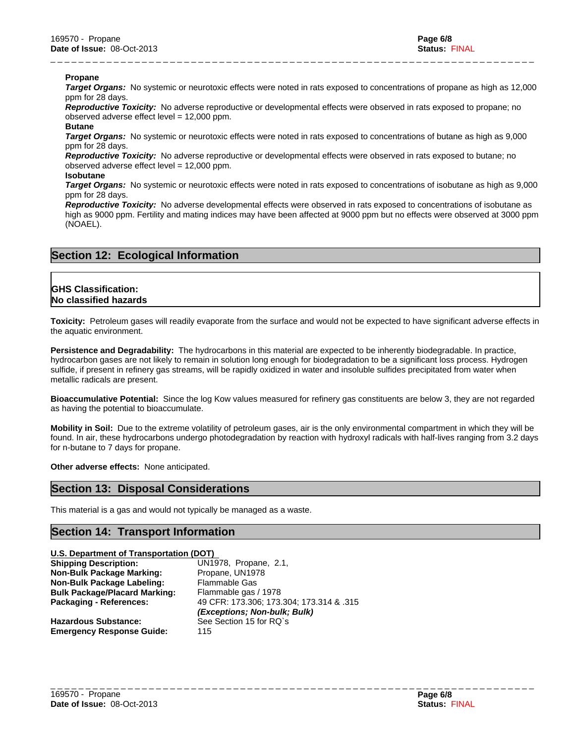#### **Propane**

*Target Organs:* No systemic or neurotoxic effects were noted in rats exposed to concentrations of propane as high as 12,000 ppm for 28 days.

\_ \_ \_ \_ \_ \_ \_ \_ \_ \_ \_ \_ \_ \_ \_ \_ \_ \_ \_ \_ \_ \_ \_ \_ \_ \_ \_ \_ \_ \_ \_ \_ \_ \_ \_ \_ \_ \_ \_ \_ \_ \_ \_ \_ \_ \_ \_ \_ \_ \_ \_ \_ \_ \_ \_ \_ \_ \_ \_ \_ \_ \_ \_ \_ \_ \_ \_ \_ \_

*Reproductive Toxicity:* No adverse reproductive or developmental effects were observed in rats exposed to propane; no observed adverse effect level = 12,000 ppm.

#### **Butane**

*Target Organs:* No systemic or neurotoxic effects were noted in rats exposed to concentrations of butane as high as 9,000 ppm for 28 days.

*Reproductive Toxicity:* No adverse reproductive or developmental effects were observed in rats exposed to butane; no observed adverse effect level = 12,000 ppm.

## **Isobutane**

*Target Organs:* No systemic or neurotoxic effects were noted in rats exposed to concentrations of isobutane as high as 9,000 ppm for 28 days.

*Reproductive Toxicity:* No adverse developmental effects were observed in rats exposed to concentrations of isobutane as high as 9000 ppm. Fertility and mating indices may have been affected at 9000 ppm but no effects were observed at 3000 ppm (NOAEL).

# **Section 12: Ecological Information**

# **GHS Classification: No classified hazards**

**Toxicity:** Petroleum gases will readily evaporate from the surface and would not be expected to have significant adverse effects in the aquatic environment.

**Persistence and Degradability:** The hydrocarbons in this material are expected to be inherently biodegradable. In practice, hydrocarbon gases are not likely to remain in solution long enough for biodegradation to be a significant loss process. Hydrogen sulfide, if present in refinery gas streams, will be rapidly oxidized in water and insoluble sulfides precipitated from water when metallic radicals are present.

**Bioaccumulative Potential:** Since the log Kow values measured for refinery gas constituents are below 3, they are not regarded as having the potential to bioaccumulate.

**Mobility in Soil:** Due to the extreme volatility of petroleum gases, air is the only environmental compartment in which they will be found. In air, these hydrocarbons undergo photodegradation by reaction with hydroxyl radicals with half-lives ranging from 3.2 days for n-butane to 7 days for propane.

**Other adverse effects:** None anticipated.

# **Section 13: Disposal Considerations**

This material is a gas and would not typically be managed as a waste.

# **Section 14: Transport Information**

| U.S. Department of Transportation (DOT) |                                          |  |  |  |
|-----------------------------------------|------------------------------------------|--|--|--|
| <b>Shipping Description:</b>            | UN1978, Propane, 2.1,                    |  |  |  |
| <b>Non-Bulk Package Marking:</b>        | Propane, UN1978                          |  |  |  |
| Non-Bulk Package Labeling:              | <b>Flammable Gas</b>                     |  |  |  |
| <b>Bulk Package/Placard Marking:</b>    | Flammable gas / 1978                     |  |  |  |
| Packaging - References:                 | 49 CFR: 173.306; 173.304; 173.314 & .315 |  |  |  |
|                                         | (Exceptions; Non-bulk; Bulk)             |  |  |  |
| <b>Hazardous Substance:</b>             | See Section 15 for RQ's                  |  |  |  |
| <b>Emergency Response Guide:</b>        | 115                                      |  |  |  |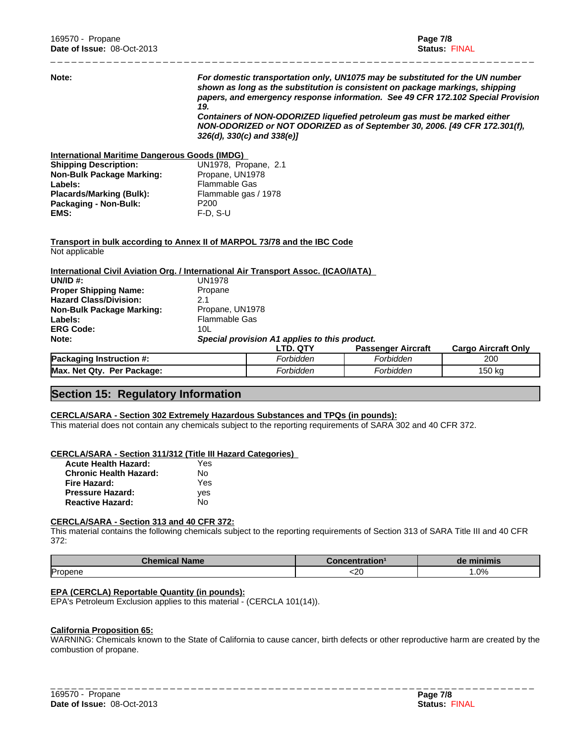| Note:                                                                                             | 19                   | For domestic transportation only, UN1075 may be substituted for the UN number<br>shown as long as the substitution is consistent on package markings, shipping<br>papers, and emergency response information. See 49 CFR 172.102 Special Provision<br>Containers of NON-ODORIZED liquefied petroleum gas must be marked either<br>NON-ODORIZED or NOT ODORIZED as of September 30, 2006. [49 CFR 172.301(f),<br>$326(d)$ , $330(c)$ and $338(e)$ ] |                           |                            |
|---------------------------------------------------------------------------------------------------|----------------------|----------------------------------------------------------------------------------------------------------------------------------------------------------------------------------------------------------------------------------------------------------------------------------------------------------------------------------------------------------------------------------------------------------------------------------------------------|---------------------------|----------------------------|
| <b>International Maritime Dangerous Goods (IMDG)</b>                                              |                      |                                                                                                                                                                                                                                                                                                                                                                                                                                                    |                           |                            |
| <b>Shipping Description:</b>                                                                      | UN1978, Propane, 2.1 |                                                                                                                                                                                                                                                                                                                                                                                                                                                    |                           |                            |
| <b>Non-Bulk Package Marking:</b>                                                                  | Propane, UN1978      |                                                                                                                                                                                                                                                                                                                                                                                                                                                    |                           |                            |
| Labels:                                                                                           | <b>Flammable Gas</b> |                                                                                                                                                                                                                                                                                                                                                                                                                                                    |                           |                            |
| <b>Placards/Marking (Bulk):</b>                                                                   | Flammable gas / 1978 |                                                                                                                                                                                                                                                                                                                                                                                                                                                    |                           |                            |
| Packaging - Non-Bulk:                                                                             | P <sub>200</sub>     |                                                                                                                                                                                                                                                                                                                                                                                                                                                    |                           |                            |
| EMS:                                                                                              | $F-D. S-U$           |                                                                                                                                                                                                                                                                                                                                                                                                                                                    |                           |                            |
| <b>Transport in bulk according to Annex II of MARPOL 73/78 and the IBC Code</b><br>Not applicable |                      |                                                                                                                                                                                                                                                                                                                                                                                                                                                    |                           |                            |
| International Civil Aviation Org. / International Air Transport Assoc. (ICAO/IATA)                |                      |                                                                                                                                                                                                                                                                                                                                                                                                                                                    |                           |                            |
| UN/ID $#$ :                                                                                       | <b>UN1978</b>        |                                                                                                                                                                                                                                                                                                                                                                                                                                                    |                           |                            |
| <b>Proper Shipping Name:</b>                                                                      | Propane              |                                                                                                                                                                                                                                                                                                                                                                                                                                                    |                           |                            |
| <b>Hazard Class/Division:</b>                                                                     | 2.1                  |                                                                                                                                                                                                                                                                                                                                                                                                                                                    |                           |                            |
| <b>Non-Bulk Package Marking:</b>                                                                  | Propane, UN1978      |                                                                                                                                                                                                                                                                                                                                                                                                                                                    |                           |                            |
| Labels:                                                                                           | <b>Flammable Gas</b> |                                                                                                                                                                                                                                                                                                                                                                                                                                                    |                           |                            |
| <b>ERG Code:</b>                                                                                  | 10 <sub>L</sub>      |                                                                                                                                                                                                                                                                                                                                                                                                                                                    |                           |                            |
| Note:                                                                                             |                      | Special provision A1 applies to this product.                                                                                                                                                                                                                                                                                                                                                                                                      |                           |                            |
|                                                                                                   |                      | LTD. QTY                                                                                                                                                                                                                                                                                                                                                                                                                                           | <b>Passenger Aircraft</b> | <b>Cargo Aircraft Only</b> |
| Packaging Instruction #:                                                                          |                      | Forbidden                                                                                                                                                                                                                                                                                                                                                                                                                                          | Forbidden                 | 200                        |
| Max. Net Qty. Per Package:                                                                        |                      | Forbidden                                                                                                                                                                                                                                                                                                                                                                                                                                          | Forbidden                 | 150 ka                     |

\_ \_ \_ \_ \_ \_ \_ \_ \_ \_ \_ \_ \_ \_ \_ \_ \_ \_ \_ \_ \_ \_ \_ \_ \_ \_ \_ \_ \_ \_ \_ \_ \_ \_ \_ \_ \_ \_ \_ \_ \_ \_ \_ \_ \_ \_ \_ \_ \_ \_ \_ \_ \_ \_ \_ \_ \_ \_ \_ \_ \_ \_ \_ \_ \_ \_ \_ \_ \_

# **Section 15: Regulatory Information**

#### **CERCLA/SARA - Section 302 Extremely Hazardous Substances and TPQs (in pounds):**

This material does not contain any chemicals subject to the reporting requirements of SARA 302 and 40 CFR 372.

# **CERCLA/SARA - Section 311/312 (Title III Hazard Categories)**

| <b>Acute Health Hazard:</b>   | Yes |
|-------------------------------|-----|
| <b>Chronic Health Hazard:</b> | N٥  |
| Fire Hazard:                  | Yes |
| <b>Pressure Hazard:</b>       | ves |
| <b>Reactive Hazard:</b>       | N٥  |

#### **CERCLA/SARA - Section 313 and 40 CFR 372:**

This material contains the following chemicals subject to the reporting requirements of Section 313 of SARA Title III and 40 CFR 372:

| <b>Chemical Name</b> | <i>c</i> oncentration: | de minimis |
|----------------------|------------------------|------------|
| <b>Propene</b>       | ~~<br>∽∠∪              | $.0\%$     |

## **EPA (CERCLA) Reportable Quantity (in pounds):**

EPA's Petroleum Exclusion applies to this material - (CERCLA 101(14)).

#### **California Proposition 65:**

WARNING: Chemicals known to the State of California to cause cancer, birth defects or other reproductive harm are created by the combustion of propane.